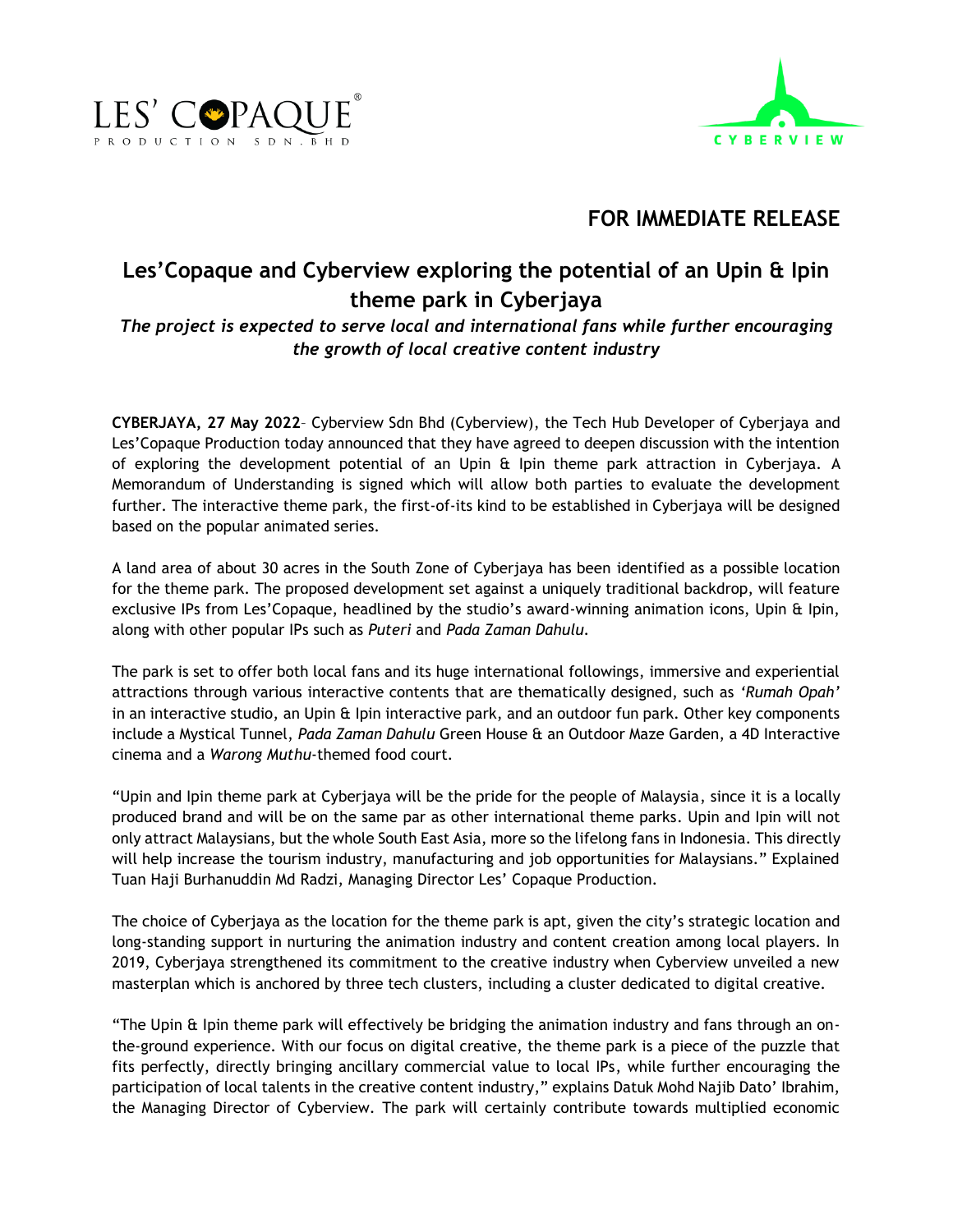



## **FOR IMMEDIATE RELEASE**

## **Les'Copaque and Cyberview exploring the potential of an Upin & Ipin theme park in Cyberjaya**

*The project is expected to serve local and international fans while further encouraging the growth of local creative content industry*

**CYBERJAYA, 27 May 2022**– Cyberview Sdn Bhd (Cyberview), the Tech Hub Developer of Cyberjaya and Les'Copaque Production today announced that they have agreed to deepen discussion with the intention of exploring the development potential of an Upin & Ipin theme park attraction in Cyberjaya. A Memorandum of Understanding is signed which will allow both parties to evaluate the development further. The interactive theme park, the first-of-its kind to be established in Cyberjaya will be designed based on the popular animated series.

A land area of about 30 acres in the South Zone of Cyberjaya has been identified as a possible location for the theme park. The proposed development set against a uniquely traditional backdrop, will feature exclusive IPs from Les'Copaque, headlined by the studio's award-winning animation icons, Upin & Ipin, along with other popular IPs such as *Puteri* and *Pada Zaman Dahulu.*

The park is set to offer both local fans and its huge international followings, immersive and experiential attractions through various interactive contents that are thematically designed, such as *'Rumah Opah'* in an interactive studio, an Upin & Ipin interactive park, and an outdoor fun park. Other key components include a Mystical Tunnel, *Pada Zaman Dahulu* Green House & an Outdoor Maze Garden, a 4D Interactive cinema and a *Warong Muthu*-themed food court.

"Upin and Ipin theme park at Cyberjaya will be the pride for the people of Malaysia, since it is a locally produced brand and will be on the same par as other international theme parks. Upin and Ipin will not only attract Malaysians, but the whole South East Asia, more so the lifelong fans in Indonesia. This directly will help increase the tourism industry, manufacturing and job opportunities for Malaysians." Explained Tuan Haji Burhanuddin Md Radzi, Managing Director Les' Copaque Production.

The choice of Cyberjaya as the location for the theme park is apt, given the city's strategic location and long-standing support in nurturing the animation industry and content creation among local players. In 2019, Cyberjaya strengthened its commitment to the creative industry when Cyberview unveiled a new masterplan which is anchored by three tech clusters, including a cluster dedicated to digital creative.

"The Upin & Ipin theme park will effectively be bridging the animation industry and fans through an onthe-ground experience. With our focus on digital creative, the theme park is a piece of the puzzle that fits perfectly, directly bringing ancillary commercial value to local IPs, while further encouraging the participation of local talents in the creative content industry," explains Datuk Mohd Najib Dato' Ibrahim, the Managing Director of Cyberview. The park will certainly contribute towards multiplied economic